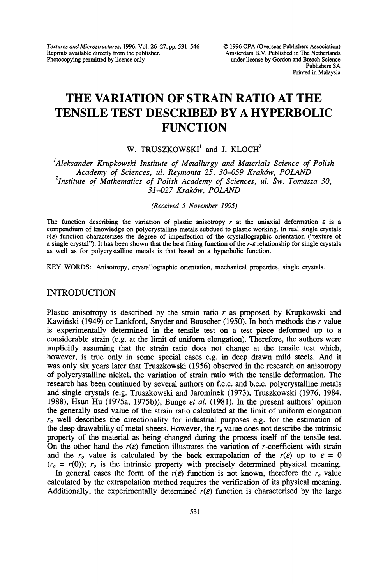Textures and Microstructures, 1996, Vol. 26-27, pp. 531-546 Reprints available directly from the publisher. Photocopying permitted by license only

# THE VARIATION OF STRAIN RATIO AT THE TENSILE TEST DESCRIBED BY A HYPERBOLIC **FUNCTION**

W. TRUSZKOWSKI<sup>1</sup> and J. KLOCH<sup>2</sup>

<sup>1</sup>Aleksander Krupkowski Institute of Metallurgy and Materials Science of Polish Academy of Sciences, ul. Reymonta 25, 30-059 Krak6w, POLAND <sup>2</sup>Institute of Mathematics of Polish Academy of Sciences, ul. Sw. Tomasza 30, 31-027 Krak6w, POLAND

(Received 5 November 1995)

The function describing the variation of plastic anisotropy r at the uniaxial deformation  $\varepsilon$  is a compendium of knowledge on polycrystalline metals subdued to plastic working. In real single crystals  $r(\varepsilon)$  function characterizes the degree of imperfection of the crystallographic orientation ("texture of a single crystal"). It has been shown that the best fitting function of the  $r$ - $\varepsilon$  relationship for single crystals as well as for polycrystalline metals is that based on a hyperbolic function.

KEY WORDS: Anisotropy, crystallographic orientation, mechanical properties, single crystals.

## INTRODUCTION

Plastic anisotropy is described by the strain ratio  $r$  as proposed by Krupkowski and Kawiński (1949) or Lankford, Snyder and Bauscher (1950). In both methods the  $r$  value is experimentally determined in the tensile test on a test piece deformed up to a considerable strain (e.g. at the limit of uniform elongation). Therefore, the authors were implicitly assuming that the strain ratio does not change at the tensile test which, however, is true only in some special cases e.g. in deep drawn mild steels. And it was only six years later that Truszkowski (1956) observed in the research on anisotropy of polycrystalline nickel, the variation of strain ratio with the tensile deformation. The research has been continued by several authors on f.c.c, and b.c.c, polycrystalline metals and single crystals (e.g. Truszkowski and Jarominek (1973), Truszkowski (1976, 1984, 1988), Hsun Hu (1975a, 1975b)), Bunge et al. (1981). In the present authors' opinion the generally used value of the strain ratio calculated at the limit of uniform elongation  $r_a$  well describes the directionality for industrial purposes e.g. for the estimation of the deep drawability of metal sheets. However, the  $r_a$  value does not describe the intrinsic property of the material as being changed during the process itself of the tensile test. On the other hand the  $r(\varepsilon)$  function illustrates the variation of r-coefficient with strain and the  $r_o$  value is calculated by the back extrapolation of the  $r(\varepsilon)$  up to  $\varepsilon = 0$  $(r<sub>o</sub> = r(0))$ ;  $r<sub>o</sub>$  is the intrinsic property with precisely determined physical meaning.

In general cases the form of the  $r(\varepsilon)$  function is not known, therefore the  $r_o$  value calculated by the extrapolation method requires the verification of its physical meaning. Additionally, the experimentally determined  $r(\varepsilon)$  function is characterised by the large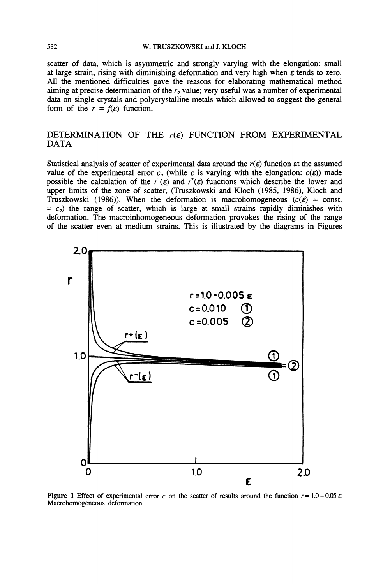scatter of data, which is asymmetric and strongly varying with the elongation: small at large strain, rising with diminishing deformation and very high when  $\varepsilon$  tends to zero. All the mentioned difficulties gave the reasons for elaborating mathematical method aiming at precise determination of the  $r<sub>o</sub>$  value; very useful was a number of experimental data on single crystals and polycrystalline metals which allowed to suggest the general form of the  $r = f(\varepsilon)$  function.

# DETERMINATION OF THE  $r(\varepsilon)$  function from Experimental DATA

Statistical analysis of scatter of experimental data around the  $r(\varepsilon)$  function at the assumed value of the experimental error  $c<sub>o</sub>$  (while c is varying with the elongation:  $c(\varepsilon)$ ) made possible the calculation of the  $r^-(\varepsilon)$  and  $r^+(\varepsilon)$  functions which describe the lower and upper limits of the zone of scatter, (Tmszkowski and Kloch (1985, 1986), Kloch and Truszkowski (1986)). When the deformation is macrohomogeneous ( $c(\varepsilon)$  = const.  $= c<sub>o</sub>$ ) the range of scatter, which is large at small strains rapidly diminishes with deformation. The macroinhomogeneous deformation provokes the rising of the range of the scatter even at medium strains. This is illustrated by the diagrams in Figures



Figure 1 Effect of experimental error c on the scatter of results around the function  $r = 1.0 - 0.05 \varepsilon$ . Macrohomogeneous deformation.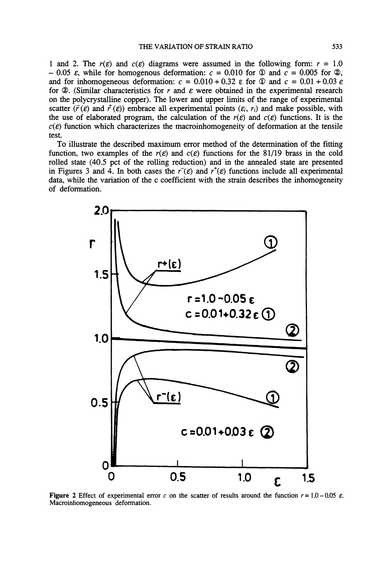1 and 2. The  $r(\varepsilon)$  and  $c(\varepsilon)$  diagrams were assumed in the following form:  $r = 1.0$  $-0.05$   $\varepsilon$ , while for homogenous deformation:  $c = 0.010$  for  $\Phi$  and  $c = 0.005$  for  $\Phi$ , and for inhomogeneous deformation:  $c = 0.010 + 0.32$  e for  $\textcircled{1}$  and  $c = 0.01 + 0.03$  e for  $\mathcal{Q}$ . (Similar characteristics for r and  $\varepsilon$  were obtained in the experimental research on the polycrystalline copper). The lower and upper limits of the range of experimental scatter ( $\bar{r}(\varepsilon)$  and  $\bar{r}(\varepsilon)$ ) embrace all experimental points ( $\varepsilon_i$ ,  $r_i$ ) and make possible, with the use of elaborated program, the calculation of the  $r(\varepsilon)$  and  $c(\varepsilon)$  functions. It is the  $c(\varepsilon)$  function which characterizes the macroinhomogeneity of deformation at the tensile test.

To illustrate the described maximum error method of the determination of the fitting function, two examples of the  $r(\varepsilon)$  and  $c(\varepsilon)$  functions for the 81/19 brass in the cold rolled state (40.5 pct of the rolling reduction) and in the annealed state are presented in Figures 3 and 4. In both cases the  $r^-(\varepsilon)$  and  $r^+(\varepsilon)$  functions include all experimental data, while the variation of the c coefficient with the strain describes the inhomogeneity of deformation.



Figure 2 Effect of experimental error c on the scatter of results around the function  $r = 1.0 - 0.05$   $\varepsilon$ . Macroinhomogeneous deformation.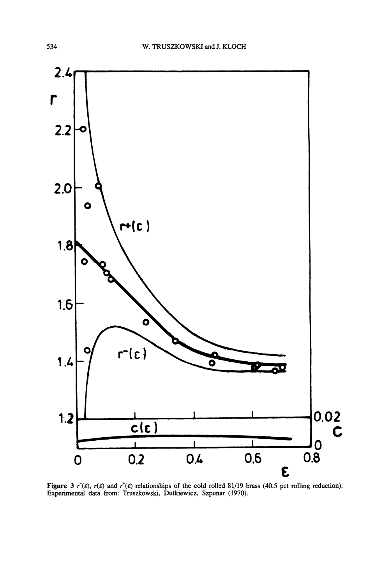

**Figure** 3  $r^{\dagger}(\varepsilon)$ ,  $r(\varepsilon)$  and  $r^{\dagger}(\varepsilon)$  relationships of the cold rolled 81/19 brass (40.5 pct rolling reduction). Experimental data from: Truszkowski, Dutkiewicz, Szpunar (1970).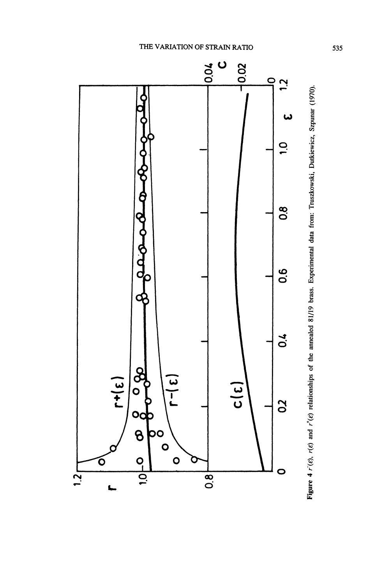

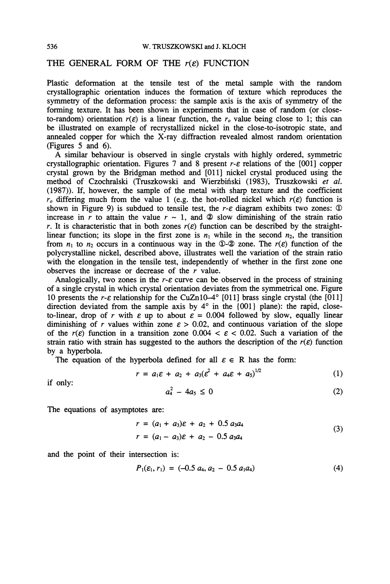# THE GENERAL FORM OF THE  $r(\varepsilon)$  FUNCTION

Plastic deformation at the tensile test of the metal sample with the random crystallographic orientation induces the formation of texture which reproduces the symmetry of the deformation process: the sample axis is the axis of symmetry of the forming texture. It has been shown in experiments that in case of random (or closeto-random) orientation  $r(\varepsilon)$  is a linear function, the r<sub>o</sub> value being close to 1; this can be illustrated on example of recrystallized nickel in the close-to-isotropic state, and annealed copper for which the X-ray diffraction revealed almost random orientation (Figures 5 and 6).

A similar behaviour is observed in single crystals with highly ordered, symmetric crystallographic orientation. Figures 7 and 8 present  $r$ - $\varepsilon$  relations of the [001] copper crystal grown by the Bridgman method and [011] nickel crystal produced using the method of Czochralski (Truszkowski and Wierzbiński (1983), Truszkowski et al. (1987)). If, however, the sample of the metal with sharp texture and the coefficient  $r<sub>o</sub>$  differing much from the value 1 (e.g. the hot-rolled nickel which  $r(\varepsilon)$  function is shown in Figure 9) is subdued to tensile test, the  $r$ - $\varepsilon$  diagram exhibits two zones:  $\Phi$ increase in r to attain the value  $r \sim 1$ , and  $\otimes$  slow diminishing of the strain ratio r. It is characteristic that in both zones  $r(\varepsilon)$  function can be described by the straightlinear function; its slope in the first zone is  $n_1$  while in the second  $n_2$ , the transition from  $n_1$  to  $n_2$  occurs in a continuous way in the  $\mathbb{Q}-\mathbb{Q}$  zone. The  $r(\varepsilon)$  function of the polycrystalline nickel, described above, illustrates well the variation of the strain ratio with the elongation in the tensile test, independently of whether in the first zone one observes the increase or decrease of the  $r$  value.

Analogically, two zones in the  $r-\varepsilon$  curve can be observed in the process of straining of a single crystal in which crystal orientation deviates from the symmetrical one. Figure 10 presents the r- $\varepsilon$  relationship for the CuZn10-4 $\degree$  [011] brass single crystal (the [011] direction deviated from the sample axis by  $4^{\circ}$  in the  $\{001\}$  plane): the rapid, closeto-linear, drop of r with  $\varepsilon$  up to about  $\varepsilon = 0.004$  followed by slow, equally linear diminishing of r values within zone  $\varepsilon > 0.02$ , and continuous variation of the slope of the  $r(\varepsilon)$  function in a transition zone 0.004  $\leq \varepsilon$  < 0.02. Such a variation of the strain ratio with strain has suggested to the authors the description of the  $r(\varepsilon)$  function by a hyperbola.

The equation of the hyperbola defined for all  $\varepsilon \in R$  has the form:

$$
r = a_1 \varepsilon + a_2 + a_3 (\varepsilon^2 + a_4 \varepsilon + a_5)^{1/2}
$$
 (1)

if only:

$$
a_4^2 - 4a_5 \le 0 \tag{2}
$$

The equations of asymptotes are:

$$
r = (a_1 + a_3)\varepsilon + a_2 + 0.5 a_3 a_4
$$
  
\n
$$
r = (a_1 - a_3)\varepsilon + a_2 - 0.5 a_3 a_4
$$
\n(3)

and the point of their intersection is:

$$
P_1(\varepsilon_1, r_1) = (-0.5 \ a_4, a_2 - 0.5 \ a_1 a_4) \tag{4}
$$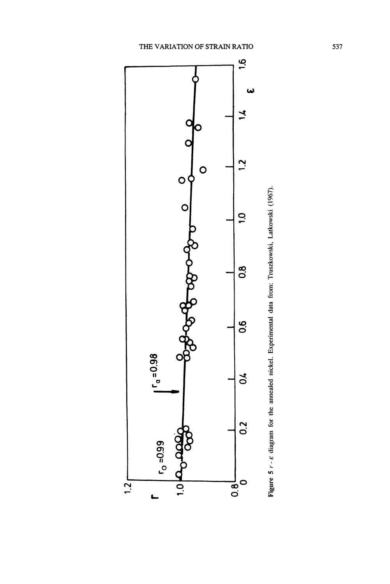

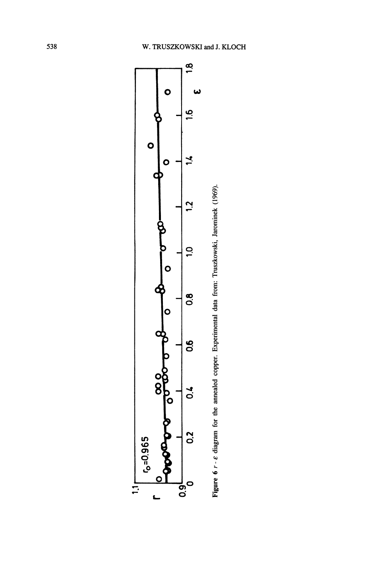

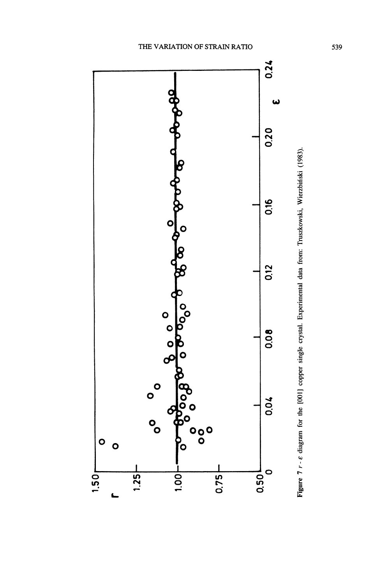

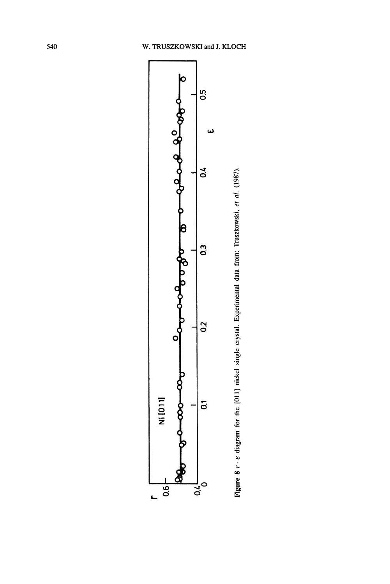

Figure 8 r - e diagram for the [011] nickel single crystal. Experimental data from: Truszkowski, et al. (1987).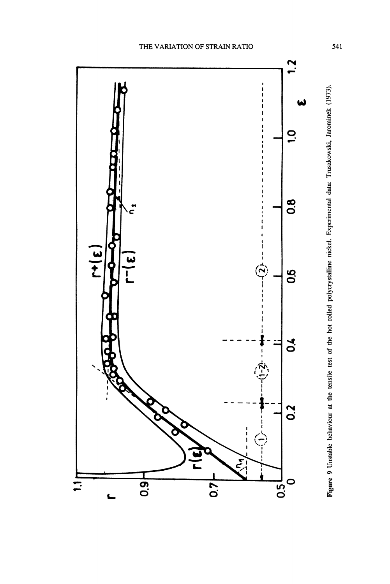

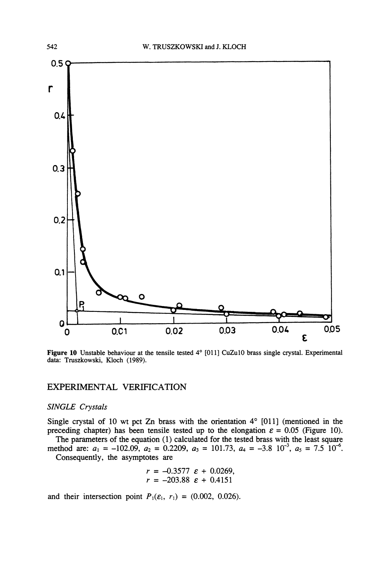

Figure 10 Unstable behaviour at the tensile tested  $4^{\circ}$  [011] CuZu10 brass single crystal. Experimental data: Truszkowski, Kloch (1989).

# EXPERIMENTAL VERIFICATION

## SINGLE Crystals

Single crystal of 10 wt pct Zn brass with the orientation  $4^{\circ}$  [011] (mentioned in the preceding chapter) has been tensile tested up to the elongation  $\varepsilon = 0.05$  (Figure 10). The parameters of the equation (1) calculated for the tested brass with the least square

method are:  $a_1 = -102.09$ ,  $a_2 = 0.2209$ ,  $a_3 = 101.73$ ,  $a_4 = -3.8$   $10^{-3}$ ,  $a_5 = 7.5$   $10^{-6}$ . Consequently, the asymptotes are

$$
r = -0.3577 \varepsilon + 0.0269,
$$
  

$$
r = -203.88 \varepsilon + 0.4151
$$

and their intersection point  $P_1(\varepsilon_1, r_1) = (0.002, 0.026)$ .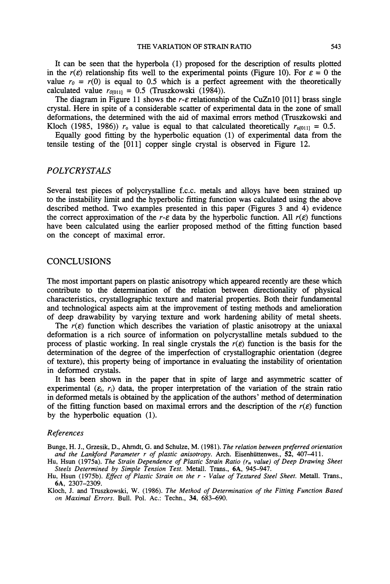It can be seen that the hyperbola (1) proposed for the description of results plotted in the  $r(\varepsilon)$  relationship fits well to the experimental points (Figure 10). For  $\varepsilon = 0$  the value  $r_0 = r(0)$  is equal to 0.5 which is a perfect agreement with the theoretically calculated value  $r_{0[011]} = 0.5$  (Truszkowski (1984)).

The diagram in Figure 11 shows the r- $\varepsilon$  relationship of the CuZn10 [011] brass single crystal. Here in spite of a considerable scatter of experimental data in the zone of small deformations, the determined with the aid of maximal errors method (Truszkowski and Kloch (1985, 1986))  $r_0$  value is equal to that calculated theoretically  $r_{\text{o[011]}} = 0.5$ .

Equally good fitting by the hyperbolic equation (1) of experimental data from the tensile testing of the [011] copper single crystal is observed in Figure 12.

## POLYCRYSTALS

Several test pieces of polycrystalline f.c.c, metals and alloys have been strained up to the instability limit and the hyperbolic fitting function was calculated using the above described method. Two examples presented in this paper (Figures 3 and 4) evidence the correct approximation of the r- $\varepsilon$  data by the hyperbolic function. All  $r(\varepsilon)$  functions have been calculated using the earlier proposed method of the fitting function based on the concept of maximal error.

### CONCLUSIONS

The most important papers on plastic anisotropy which appeared recently are these which contribute to the determination of the relation between directionality of physical characteristics, crystallographic texture and material properties. Both their fundamental and technological aspects aim at the improvement of testing methods and amelioration of deep drawability by varying texture and work hardening ability of metal sheets.

The  $r(\varepsilon)$  function which describes the variation of plastic anisotropy at the uniaxal deformation is a rich source of information on polycrystalline metals subdued to the process of plastic working. In real single crystals the  $r(\varepsilon)$  function is the basis for the determination of the degree of the imperfection of crystallographic orientation (degree of texture), this property being of importance in evaluating the instability of orientation in deformed crystals.

It has been shown in the paper that in spite of large and asymmetric scatter of experimental  $(\varepsilon_i, r_i)$  data, the proper interpretation of the variation of the strain ratio in deformed metals is obtained by the application of the authors' method of determination of the fitting function based on maximal errors and the description of the  $r(\varepsilon)$  function by the hyperbolic equation (1).

#### References

Bunge, H. J., Grzesik, D., Ahrndt, G. and Schulze, M. (1981). The relation between preferred orientation and the Lankford Parameter r of plastic anisotropy. Arch. Eisenhüttenwes.,  $52$ , 407-411.

Hu, Hsun (1975a). The Strain Dependence of Plastic Strain Ratio  $(r_m$  value) of Deep Drawing Sheet Steels Determined by Simple Tension Test. Metall. Trans., 6A, 945-947.

Hu, Hsun (1975b). Effect of Plastic Strain on the r - Value of Textured Steel Sheet. Metall. Trans., 6A, 2307-2309.

Kloch, J. and Truszkowski, W. (1986). The Method of Determination of the Fitting Function Based on Maximal Errors. Bull. Pol. Ac.: Techn., 34, 683-690.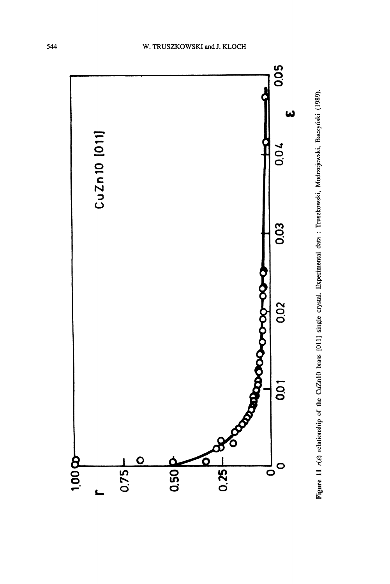

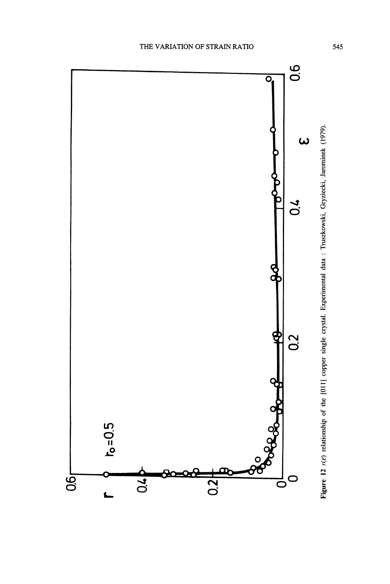